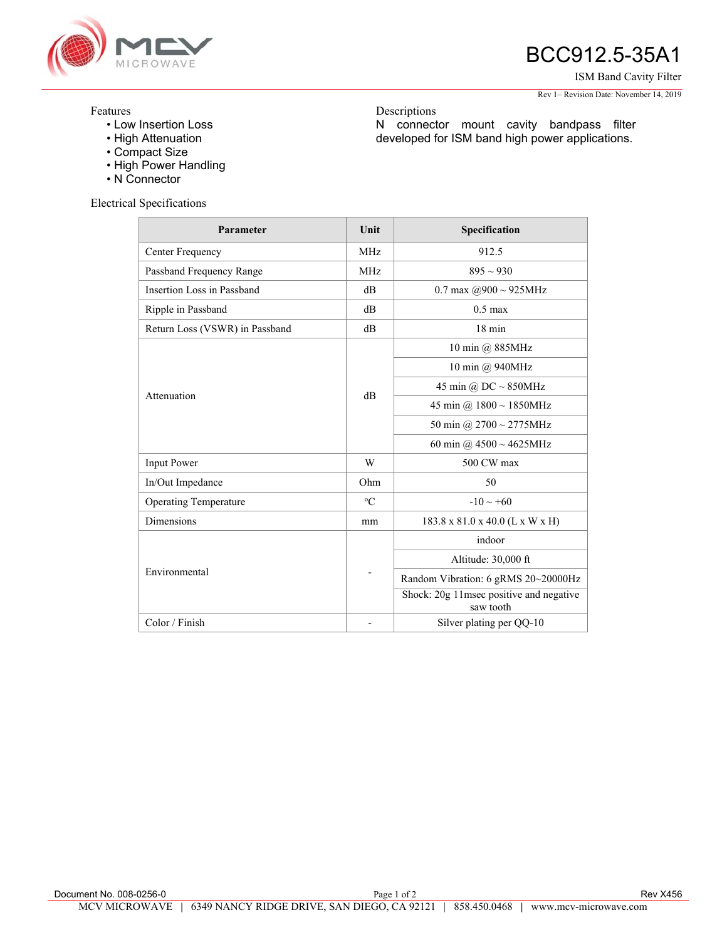

## BCC912.5-35A1

ISM Band Cavity Filter

Rev 1– Revision Date: November 14, 2019

## Features

- Low Insertion Loss
- High Attenuation
- Compact Size
- High Power Handling
- N Connector

Electrical Specifications

| Parameter                      | Unit        | Specification                                        |
|--------------------------------|-------------|------------------------------------------------------|
| Center Frequency               | <b>MHz</b>  | 912.5                                                |
| Passband Frequency Range       | <b>MHz</b>  | $895 \sim 930$                                       |
| Insertion Loss in Passband     | $\text{dB}$ | 0.7 max $\omega$ 900 ~ 925MHz                        |
| Ripple in Passband             | dB          | $0.5 \text{ max}$                                    |
| Return Loss (VSWR) in Passband | dB          | $18 \text{ min}$                                     |
| Attenuation                    | dB          | 10 min @ 885MHz                                      |
|                                |             | 10 min @ 940MHz                                      |
|                                |             | 45 min @ DC $\sim$ 850MHz                            |
|                                |             | 45 min @ $1800 \sim 1850$ MHz                        |
|                                |             | 50 min @ $2700 \sim 2775$ MHz                        |
|                                |             | 60 min @ $4500 \sim 4625$ MHz                        |
| <b>Input Power</b>             | W           | 500 CW max                                           |
| In/Out Impedance               | Ohm         | 50                                                   |
| <b>Operating Temperature</b>   | $\rm ^{o}C$ | $-10 \sim +60$                                       |
| <b>Dimensions</b>              | mm          | 183.8 x 81.0 x 40.0 (L x W x H)                      |
| Environmental                  | -           | indoor                                               |
|                                |             | Altitude: 30,000 ft                                  |
|                                |             | Random Vibration: 6 gRMS 20~20000Hz                  |
|                                |             | Shock: 20g 11msec positive and negative<br>saw tooth |
| Color / Finish                 |             | Silver plating per QQ-10                             |

Descriptions

N connector mount cavity bandpass filter developed for ISM band high power applications.